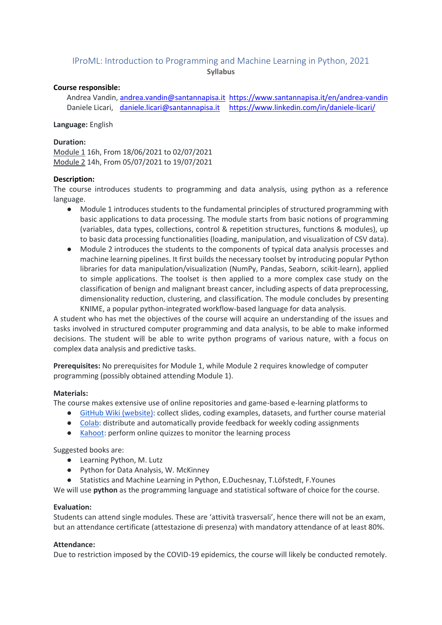# IProML: Introduction to Programming and Machine Learning in Python, 2021 **Syllabus**

### **Course responsible:**

Andrea Vandin, [andrea.vandin@santannapisa.it](mailto:andrea.vandin@santannapisa.it) <https://www.santannapisa.it/en/andrea-vandin> Daniele Licari, [daniele.licari@santannapisa.it](mailto:daniele.licari@santannapisa.it) <https://www.linkedin.com/in/daniele-licari/>

### **Language:** English

### **Duration:**

Module 1 16h, From 18/06/2021 to 02/07/2021 Module 2 14h, From 05/07/2021 to 19/07/2021

### **Description:**

The course introduces students to programming and data analysis, using python as a reference language.

- Module 1 introduces students to the fundamental principles of structured programming with basic applications to data processing. The module starts from basic notions of programming (variables, data types, collections, control & repetition structures, functions & modules), up to basic data processing functionalities (loading, manipulation, and visualization of CSV data).
- Module 2 introduces the students to the components of typical data analysis processes and machine learning pipelines. It first builds the necessary toolset by introducing popular Python libraries for data manipulation/visualization (NumPy, Pandas, Seaborn, scikit-learn), applied to simple applications. The toolset is then applied to a more complex case study on the classification of benign and malignant breast cancer, including aspects of data preprocessing, dimensionality reduction, clustering, and classification. The module concludes by presenting KNIME, a popular python-integrated workflow-based language for data analysis.

A student who has met the objectives of the course will acquire an understanding of the issues and tasks involved in structured computer programming and data analysis, to be able to make informed decisions. The student will be able to write python programs of various nature, with a focus on complex data analysis and predictive tasks.

**Prerequisites:** No prerequisites for Module 1, while Module 2 requires knowledge of computer programming (possibly obtained attending Module 1).

# **Materials:**

The course makes extensive use of online repositories and game-based e-learning platforms to

- [GitHub Wiki \(website\):](https://github.com/EMbeDS-education/SNS-IProML2021/wiki) collect slides, coding examples, datasets, and further course material
- [Colab:](https://colab.research.google.com/) distribute and automatically provide feedback for weekly coding assignments
- [Kahoot:](https://kahoot.com/) perform online quizzes to monitor the learning process

Suggested books are:

- Learning Python, M. Lutz
- Python for Data Analysis, W. McKinney
- Statistics and Machine Learning in Python, E.Duchesnay, T.Löfstedt, F.Younes

We will use **python** as the programming language and statistical software of choice for the course.

# **Evaluation:**

Students can attend single modules. These are 'attività trasversali', hence there will not be an exam, but an attendance certificate (attestazione di presenza) with mandatory attendance of at least 80%.

#### **Attendance:**

Due to restriction imposed by the COVID-19 epidemics, the course will likely be conducted remotely.